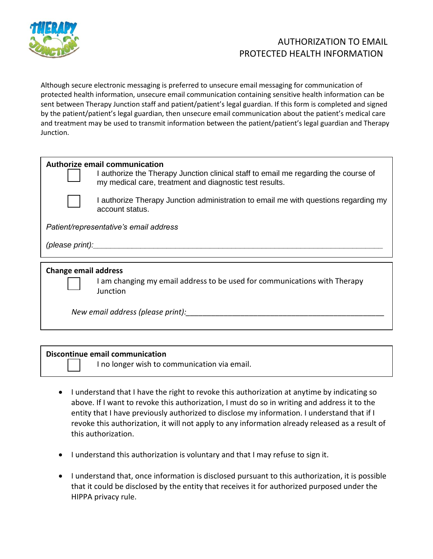

## AUTHORIZATION TO EMAIL PROTECTED HEALTH INFORMATION

Although secure electronic messaging is preferred to unsecure email messaging for communication of protected health information, unsecure email communication containing sensitive health information can be sent between Therapy Junction staff and patient/patient's legal guardian. If this form is completed and signed by the patient/patient's legal guardian, then unsecure email communication about the patient's medical care and treatment may be used to transmit information between the patient/patient's legal guardian and Therapy Junction.

|                                        | Authorize email communication<br>I authorize the Therapy Junction clinical staff to email me regarding the course of<br>my medical care, treatment and diagnostic test results. |  |
|----------------------------------------|---------------------------------------------------------------------------------------------------------------------------------------------------------------------------------|--|
|                                        | I authorize Therapy Junction administration to email me with questions regarding my<br>account status.                                                                          |  |
| Patient/representative's email address |                                                                                                                                                                                 |  |
| (please print):                        |                                                                                                                                                                                 |  |
|                                        |                                                                                                                                                                                 |  |
| <b>Change email address</b>            |                                                                                                                                                                                 |  |

I am changing my email address to be used for communications with Therapy Junction

*New email address (please print):* 

## **Discontinue email communication**

I no longer wish to communication via email.

- I understand that I have the right to revoke this authorization at anytime by indicating so above. If I want to revoke this authorization, I must do so in writing and address it to the entity that I have previously authorized to disclose my information. I understand that if I revoke this authorization, it will not apply to any information already released as a result of this authorization.
- I understand this authorization is voluntary and that I may refuse to sign it.
- I understand that, once information is disclosed pursuant to this authorization, it is possible that it could be disclosed by the entity that receives it for authorized purposed under the HIPPA privacy rule.